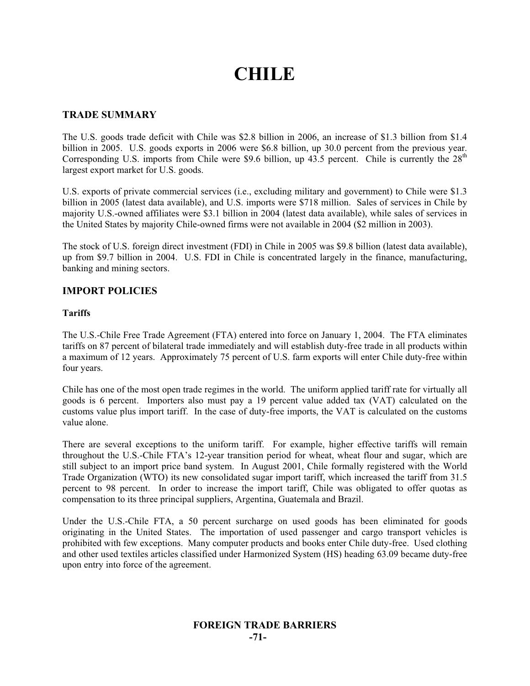# **CHILE**

# **TRADE SUMMARY**

The U.S. goods trade deficit with Chile was \$2.8 billion in 2006, an increase of \$1.3 billion from \$1.4 billion in 2005. U.S. goods exports in 2006 were \$6.8 billion, up 30.0 percent from the previous year. Corresponding U.S. imports from Chile were \$9.6 billion, up  $43.5$  percent. Chile is currently the  $28<sup>th</sup>$ largest export market for U.S. goods.

U.S. exports of private commercial services (i.e., excluding military and government) to Chile were \$1.3 billion in 2005 (latest data available), and U.S. imports were \$718 million. Sales of services in Chile by majority U.S.-owned affiliates were \$3.1 billion in 2004 (latest data available), while sales of services in the United States by majority Chile-owned firms were not available in 2004 (\$2 million in 2003).

The stock of U.S. foreign direct investment (FDI) in Chile in 2005 was \$9.8 billion (latest data available), up from \$9.7 billion in 2004. U.S. FDI in Chile is concentrated largely in the finance, manufacturing, banking and mining sectors.

# **IMPORT POLICIES**

#### **Tariffs**

The U.S.-Chile Free Trade Agreement (FTA) entered into force on January 1, 2004. The FTA eliminates tariffs on 87 percent of bilateral trade immediately and will establish duty-free trade in all products within a maximum of 12 years. Approximately 75 percent of U.S. farm exports will enter Chile duty-free within four years.

Chile has one of the most open trade regimes in the world. The uniform applied tariff rate for virtually all goods is 6 percent. Importers also must pay a 19 percent value added tax (VAT) calculated on the customs value plus import tariff. In the case of duty-free imports, the VAT is calculated on the customs value alone.

There are several exceptions to the uniform tariff. For example, higher effective tariffs will remain throughout the U.S.-Chile FTA's 12-year transition period for wheat, wheat flour and sugar, which are still subject to an import price band system. In August 2001, Chile formally registered with the World Trade Organization (WTO) its new consolidated sugar import tariff, which increased the tariff from 31.5 percent to 98 percent. In order to increase the import tariff, Chile was obligated to offer quotas as compensation to its three principal suppliers, Argentina, Guatemala and Brazil.

Under the U.S.-Chile FTA, a 50 percent surcharge on used goods has been eliminated for goods originating in the United States. The importation of used passenger and cargo transport vehicles is prohibited with few exceptions. Many computer products and books enter Chile duty-free. Used clothing and other used textiles articles classified under Harmonized System (HS) heading 63.09 became duty-free upon entry into force of the agreement.

# **FOREIGN TRADE BARRIERS -71-**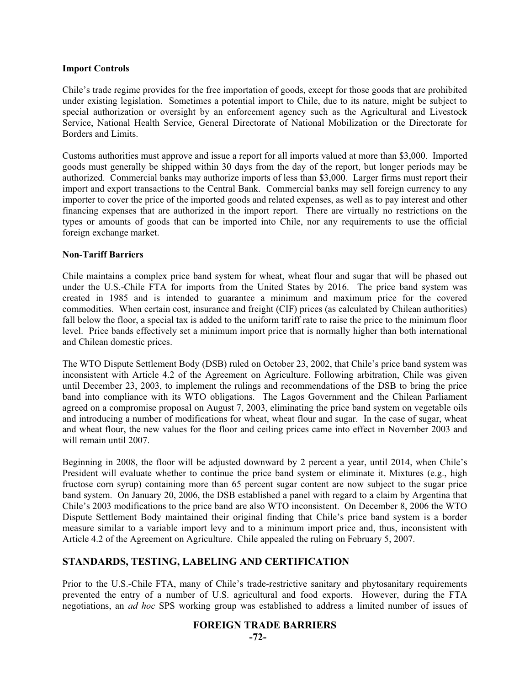#### **Import Controls**

Chile's trade regime provides for the free importation of goods, except for those goods that are prohibited under existing legislation. Sometimes a potential import to Chile, due to its nature, might be subject to special authorization or oversight by an enforcement agency such as the Agricultural and Livestock Service, National Health Service, General Directorate of National Mobilization or the Directorate for Borders and Limits.

Customs authorities must approve and issue a report for all imports valued at more than \$3,000. Imported goods must generally be shipped within 30 days from the day of the report, but longer periods may be authorized. Commercial banks may authorize imports of less than \$3,000. Larger firms must report their import and export transactions to the Central Bank. Commercial banks may sell foreign currency to any importer to cover the price of the imported goods and related expenses, as well as to pay interest and other financing expenses that are authorized in the import report. There are virtually no restrictions on the types or amounts of goods that can be imported into Chile, nor any requirements to use the official foreign exchange market.

## **Non-Tariff Barriers**

Chile maintains a complex price band system for wheat, wheat flour and sugar that will be phased out under the U.S.-Chile FTA for imports from the United States by 2016. The price band system was created in 1985 and is intended to guarantee a minimum and maximum price for the covered commodities. When certain cost, insurance and freight (CIF) prices (as calculated by Chilean authorities) fall below the floor, a special tax is added to the uniform tariff rate to raise the price to the minimum floor level. Price bands effectively set a minimum import price that is normally higher than both international and Chilean domestic prices.

The WTO Dispute Settlement Body (DSB) ruled on October 23, 2002, that Chile's price band system was inconsistent with Article 4.2 of the Agreement on Agriculture. Following arbitration, Chile was given until December 23, 2003, to implement the rulings and recommendations of the DSB to bring the price band into compliance with its WTO obligations. The Lagos Government and the Chilean Parliament agreed on a compromise proposal on August 7, 2003, eliminating the price band system on vegetable oils and introducing a number of modifications for wheat, wheat flour and sugar. In the case of sugar, wheat and wheat flour, the new values for the floor and ceiling prices came into effect in November 2003 and will remain until 2007.

Beginning in 2008, the floor will be adjusted downward by 2 percent a year, until 2014, when Chile's President will evaluate whether to continue the price band system or eliminate it. Mixtures (e.g., high fructose corn syrup) containing more than 65 percent sugar content are now subject to the sugar price band system. On January 20, 2006, the DSB established a panel with regard to a claim by Argentina that Chile's 2003 modifications to the price band are also WTO inconsistent. On December 8, 2006 the WTO Dispute Settlement Body maintained their original finding that Chile's price band system is a border measure similar to a variable import levy and to a minimum import price and, thus, inconsistent with Article 4.2 of the Agreement on Agriculture. Chile appealed the ruling on February 5, 2007.

# **STANDARDS, TESTING, LABELING AND CERTIFICATION**

Prior to the U.S.-Chile FTA, many of Chile's trade-restrictive sanitary and phytosanitary requirements prevented the entry of a number of U.S. agricultural and food exports. However, during the FTA negotiations, an *ad hoc* SPS working group was established to address a limited number of issues of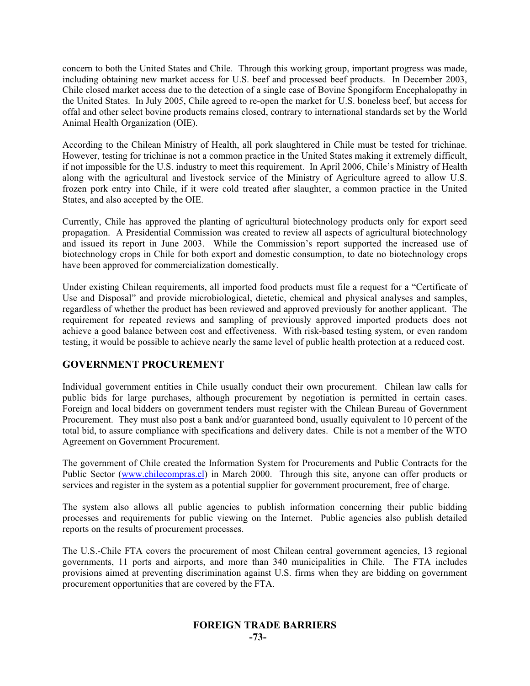concern to both the United States and Chile. Through this working group, important progress was made, including obtaining new market access for U.S. beef and processed beef products. In December 2003, Chile closed market access due to the detection of a single case of Bovine Spongiform Encephalopathy in the United States. In July 2005, Chile agreed to re-open the market for U.S. boneless beef, but access for offal and other select bovine products remains closed, contrary to international standards set by the World Animal Health Organization (OIE).

According to the Chilean Ministry of Health, all pork slaughtered in Chile must be tested for trichinae. However, testing for trichinae is not a common practice in the United States making it extremely difficult, if not impossible for the U.S. industry to meet this requirement. In April 2006, Chile's Ministry of Health along with the agricultural and livestock service of the Ministry of Agriculture agreed to allow U.S. frozen pork entry into Chile, if it were cold treated after slaughter, a common practice in the United States, and also accepted by the OIE.

Currently, Chile has approved the planting of agricultural biotechnology products only for export seed propagation. A Presidential Commission was created to review all aspects of agricultural biotechnology and issued its report in June 2003. While the Commission's report supported the increased use of biotechnology crops in Chile for both export and domestic consumption, to date no biotechnology crops have been approved for commercialization domestically.

Under existing Chilean requirements, all imported food products must file a request for a "Certificate of Use and Disposal" and provide microbiological, dietetic, chemical and physical analyses and samples, regardless of whether the product has been reviewed and approved previously for another applicant. The requirement for repeated reviews and sampling of previously approved imported products does not achieve a good balance between cost and effectiveness. With risk-based testing system, or even random testing, it would be possible to achieve nearly the same level of public health protection at a reduced cost.

# **GOVERNMENT PROCUREMENT**

Individual government entities in Chile usually conduct their own procurement. Chilean law calls for public bids for large purchases, although procurement by negotiation is permitted in certain cases. Foreign and local bidders on government tenders must register with the Chilean Bureau of Government Procurement. They must also post a bank and/or guaranteed bond, usually equivalent to 10 percent of the total bid, to assure compliance with specifications and delivery dates. Chile is not a member of the WTO Agreement on Government Procurement.

The government of Chile created the Information System for Procurements and Public Contracts for the Public Sector (www.chilecompras.cl) in March 2000. Through this site, anyone can offer products or services and register in the system as a potential supplier for government procurement, free of charge.

The system also allows all public agencies to publish information concerning their public bidding processes and requirements for public viewing on the Internet. Public agencies also publish detailed reports on the results of procurement processes.

The U.S.-Chile FTA covers the procurement of most Chilean central government agencies, 13 regional governments, 11 ports and airports, and more than 340 municipalities in Chile. The FTA includes provisions aimed at preventing discrimination against U.S. firms when they are bidding on government procurement opportunities that are covered by the FTA.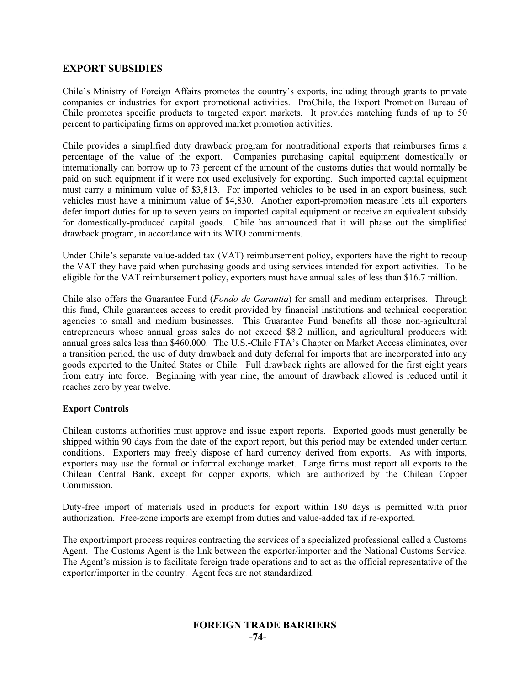# **EXPORT SUBSIDIES**

Chile's Ministry of Foreign Affairs promotes the country's exports, including through grants to private companies or industries for export promotional activities. ProChile, the Export Promotion Bureau of Chile promotes specific products to targeted export markets. It provides matching funds of up to 50 percent to participating firms on approved market promotion activities.

Chile provides a simplified duty drawback program for nontraditional exports that reimburses firms a percentage of the value of the export. Companies purchasing capital equipment domestically or internationally can borrow up to 73 percent of the amount of the customs duties that would normally be paid on such equipment if it were not used exclusively for exporting. Such imported capital equipment must carry a minimum value of \$3,813. For imported vehicles to be used in an export business, such vehicles must have a minimum value of \$4,830. Another export-promotion measure lets all exporters defer import duties for up to seven years on imported capital equipment or receive an equivalent subsidy for domestically-produced capital goods. Chile has announced that it will phase out the simplified drawback program, in accordance with its WTO commitments.

Under Chile's separate value-added tax (VAT) reimbursement policy, exporters have the right to recoup the VAT they have paid when purchasing goods and using services intended for export activities. To be eligible for the VAT reimbursement policy, exporters must have annual sales of less than \$16.7 million.

Chile also offers the Guarantee Fund (*Fondo de Garantia*) for small and medium enterprises. Through this fund, Chile guarantees access to credit provided by financial institutions and technical cooperation agencies to small and medium businesses. This Guarantee Fund benefits all those non-agricultural entrepreneurs whose annual gross sales do not exceed \$8.2 million, and agricultural producers with annual gross sales less than \$460,000. The U.S.-Chile FTA's Chapter on Market Access eliminates, over a transition period, the use of duty drawback and duty deferral for imports that are incorporated into any goods exported to the United States or Chile. Full drawback rights are allowed for the first eight years from entry into force. Beginning with year nine, the amount of drawback allowed is reduced until it reaches zero by year twelve.

## **Export Controls**

Chilean customs authorities must approve and issue export reports. Exported goods must generally be shipped within 90 days from the date of the export report, but this period may be extended under certain conditions. Exporters may freely dispose of hard currency derived from exports. As with imports, exporters may use the formal or informal exchange market. Large firms must report all exports to the Chilean Central Bank, except for copper exports, which are authorized by the Chilean Copper Commission.

Duty-free import of materials used in products for export within 180 days is permitted with prior authorization. Free-zone imports are exempt from duties and value-added tax if re-exported.

The export/import process requires contracting the services of a specialized professional called a Customs Agent. The Customs Agent is the link between the exporter/importer and the National Customs Service. The Agent's mission is to facilitate foreign trade operations and to act as the official representative of the exporter/importer in the country. Agent fees are not standardized.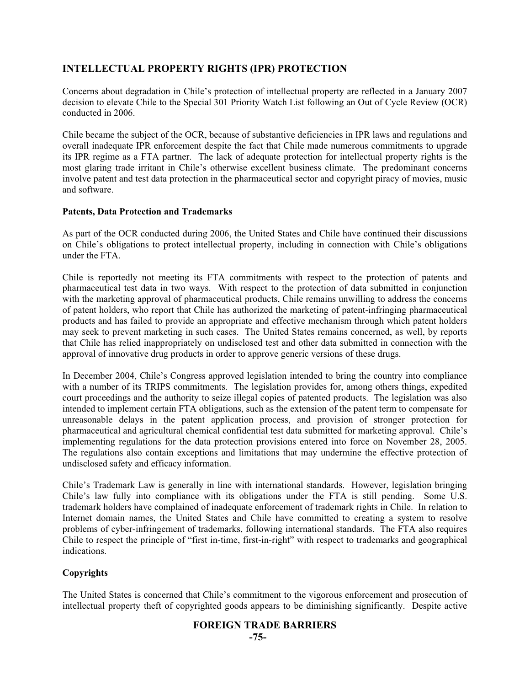# **INTELLECTUAL PROPERTY RIGHTS (IPR) PROTECTION**

Concerns about degradation in Chile's protection of intellectual property are reflected in a January 2007 decision to elevate Chile to the Special 301 Priority Watch List following an Out of Cycle Review (OCR) conducted in 2006.

Chile became the subject of the OCR, because of substantive deficiencies in IPR laws and regulations and overall inadequate IPR enforcement despite the fact that Chile made numerous commitments to upgrade its IPR regime as a FTA partner. The lack of adequate protection for intellectual property rights is the most glaring trade irritant in Chile's otherwise excellent business climate. The predominant concerns involve patent and test data protection in the pharmaceutical sector and copyright piracy of movies, music and software.

## **Patents, Data Protection and Trademarks**

As part of the OCR conducted during 2006, the United States and Chile have continued their discussions on Chile's obligations to protect intellectual property, including in connection with Chile's obligations under the FTA.

Chile is reportedly not meeting its FTA commitments with respect to the protection of patents and pharmaceutical test data in two ways. With respect to the protection of data submitted in conjunction with the marketing approval of pharmaceutical products, Chile remains unwilling to address the concerns of patent holders, who report that Chile has authorized the marketing of patent-infringing pharmaceutical products and has failed to provide an appropriate and effective mechanism through which patent holders may seek to prevent marketing in such cases. The United States remains concerned, as well, by reports that Chile has relied inappropriately on undisclosed test and other data submitted in connection with the approval of innovative drug products in order to approve generic versions of these drugs.

In December 2004, Chile's Congress approved legislation intended to bring the country into compliance with a number of its TRIPS commitments. The legislation provides for, among others things, expedited court proceedings and the authority to seize illegal copies of patented products. The legislation was also intended to implement certain FTA obligations, such as the extension of the patent term to compensate for unreasonable delays in the patent application process, and provision of stronger protection for pharmaceutical and agricultural chemical confidential test data submitted for marketing approval. Chile's implementing regulations for the data protection provisions entered into force on November 28, 2005. The regulations also contain exceptions and limitations that may undermine the effective protection of undisclosed safety and efficacy information.

Chile's Trademark Law is generally in line with international standards. However, legislation bringing Chile's law fully into compliance with its obligations under the FTA is still pending. Some U.S. trademark holders have complained of inadequate enforcement of trademark rights in Chile. In relation to Internet domain names, the United States and Chile have committed to creating a system to resolve problems of cyber-infringement of trademarks, following international standards. The FTA also requires Chile to respect the principle of "first in-time, first-in-right" with respect to trademarks and geographical indications.

# **Copyrights**

The United States is concerned that Chile's commitment to the vigorous enforcement and prosecution of intellectual property theft of copyrighted goods appears to be diminishing significantly. Despite active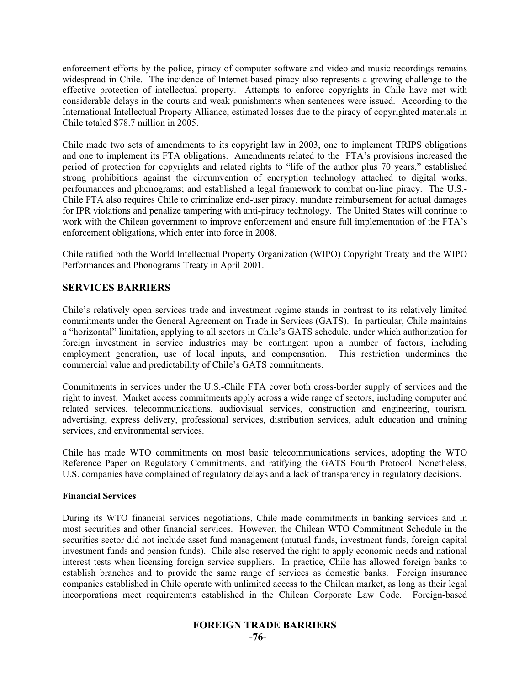enforcement efforts by the police, piracy of computer software and video and music recordings remains widespread in Chile. The incidence of Internet-based piracy also represents a growing challenge to the effective protection of intellectual property. Attempts to enforce copyrights in Chile have met with considerable delays in the courts and weak punishments when sentences were issued. According to the International Intellectual Property Alliance, estimated losses due to the piracy of copyrighted materials in Chile totaled \$78.7 million in 2005.

Chile made two sets of amendments to its copyright law in 2003, one to implement TRIPS obligations and one to implement its FTA obligations. Amendments related to the FTA's provisions increased the period of protection for copyrights and related rights to "life of the author plus 70 years," established strong prohibitions against the circumvention of encryption technology attached to digital works, performances and phonograms; and established a legal framework to combat on-line piracy. The U.S.- Chile FTA also requires Chile to criminalize end-user piracy, mandate reimbursement for actual damages for IPR violations and penalize tampering with anti-piracy technology. The United States will continue to work with the Chilean government to improve enforcement and ensure full implementation of the FTA's enforcement obligations, which enter into force in 2008.

Chile ratified both the World Intellectual Property Organization (WIPO) Copyright Treaty and the WIPO Performances and Phonograms Treaty in April 2001.

# **SERVICES BARRIERS**

Chile's relatively open services trade and investment regime stands in contrast to its relatively limited commitments under the General Agreement on Trade in Services (GATS). In particular, Chile maintains a "horizontal" limitation, applying to all sectors in Chile's GATS schedule, under which authorization for foreign investment in service industries may be contingent upon a number of factors, including employment generation, use of local inputs, and compensation. This restriction undermines the commercial value and predictability of Chile's GATS commitments.

Commitments in services under the U.S.-Chile FTA cover both cross-border supply of services and the right to invest. Market access commitments apply across a wide range of sectors, including computer and related services, telecommunications, audiovisual services, construction and engineering, tourism, advertising, express delivery, professional services, distribution services, adult education and training services, and environmental services.

Chile has made WTO commitments on most basic telecommunications services, adopting the WTO Reference Paper on Regulatory Commitments, and ratifying the GATS Fourth Protocol. Nonetheless, U.S. companies have complained of regulatory delays and a lack of transparency in regulatory decisions.

## **Financial Services**

During its WTO financial services negotiations, Chile made commitments in banking services and in most securities and other financial services. However, the Chilean WTO Commitment Schedule in the securities sector did not include asset fund management (mutual funds, investment funds, foreign capital investment funds and pension funds). Chile also reserved the right to apply economic needs and national interest tests when licensing foreign service suppliers. In practice, Chile has allowed foreign banks to establish branches and to provide the same range of services as domestic banks. Foreign insurance companies established in Chile operate with unlimited access to the Chilean market, as long as their legal incorporations meet requirements established in the Chilean Corporate Law Code. Foreign-based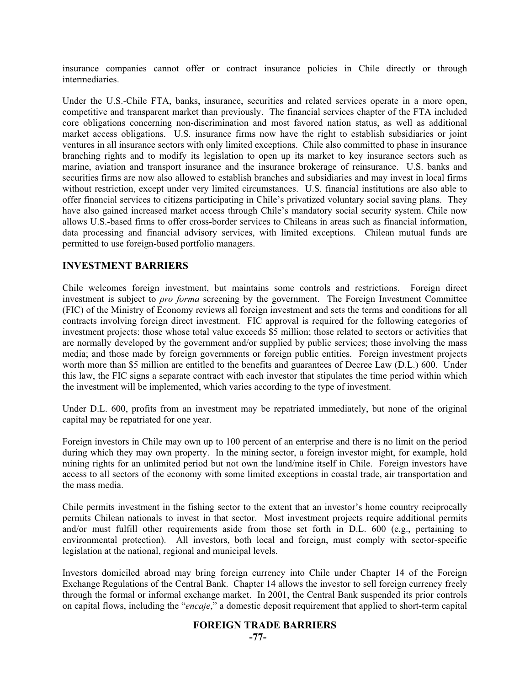insurance companies cannot offer or contract insurance policies in Chile directly or through intermediaries.

Under the U.S.-Chile FTA, banks, insurance, securities and related services operate in a more open, competitive and transparent market than previously. The financial services chapter of the FTA included core obligations concerning non-discrimination and most favored nation status, as well as additional market access obligations. U.S. insurance firms now have the right to establish subsidiaries or joint ventures in all insurance sectors with only limited exceptions. Chile also committed to phase in insurance branching rights and to modify its legislation to open up its market to key insurance sectors such as marine, aviation and transport insurance and the insurance brokerage of reinsurance. U.S. banks and securities firms are now also allowed to establish branches and subsidiaries and may invest in local firms without restriction, except under very limited circumstances. U.S. financial institutions are also able to offer financial services to citizens participating in Chile's privatized voluntary social saving plans. They have also gained increased market access through Chile's mandatory social security system. Chile now allows U.S.-based firms to offer cross-border services to Chileans in areas such as financial information, data processing and financial advisory services, with limited exceptions. Chilean mutual funds are permitted to use foreign-based portfolio managers.

## **INVESTMENT BARRIERS**

Chile welcomes foreign investment, but maintains some controls and restrictions. Foreign direct investment is subject to *pro forma* screening by the government. The Foreign Investment Committee (FIC) of the Ministry of Economy reviews all foreign investment and sets the terms and conditions for all contracts involving foreign direct investment. FIC approval is required for the following categories of investment projects: those whose total value exceeds \$5 million; those related to sectors or activities that are normally developed by the government and/or supplied by public services; those involving the mass media; and those made by foreign governments or foreign public entities. Foreign investment projects worth more than \$5 million are entitled to the benefits and guarantees of Decree Law (D.L.) 600. Under this law, the FIC signs a separate contract with each investor that stipulates the time period within which the investment will be implemented, which varies according to the type of investment.

Under D.L. 600, profits from an investment may be repatriated immediately, but none of the original capital may be repatriated for one year.

Foreign investors in Chile may own up to 100 percent of an enterprise and there is no limit on the period during which they may own property. In the mining sector, a foreign investor might, for example, hold mining rights for an unlimited period but not own the land/mine itself in Chile. Foreign investors have access to all sectors of the economy with some limited exceptions in coastal trade, air transportation and the mass media.

Chile permits investment in the fishing sector to the extent that an investor's home country reciprocally permits Chilean nationals to invest in that sector. Most investment projects require additional permits and/or must fulfill other requirements aside from those set forth in D.L. 600 (e.g., pertaining to environmental protection). All investors, both local and foreign, must comply with sector-specific legislation at the national, regional and municipal levels.

Investors domiciled abroad may bring foreign currency into Chile under Chapter 14 of the Foreign Exchange Regulations of the Central Bank. Chapter 14 allows the investor to sell foreign currency freely through the formal or informal exchange market. In 2001, the Central Bank suspended its prior controls on capital flows, including the "*encaje*," a domestic deposit requirement that applied to short-term capital